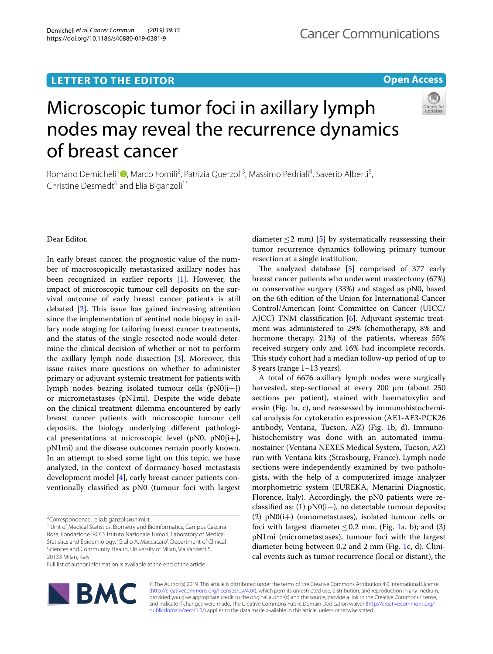Demicheli *et al. Cancer Commun (2019) 39:35*  https://doi.org/10.1186/s40880-019-0381-9

## **Open Access**



# Microscopic tumor foci in axillary lymph nodes may reveal the recurrence dynamics of breast cancer

Romano Demicheli<sup>[1](http://orcid.org/0000-0002-1343-6431)</sup><sup>®</sup>, Marco Fornili<sup>2</sup>, Patrizia Querzoli<sup>3</sup>, Massimo Pedriali<sup>4</sup>, Saverio Alberti<sup>5</sup>, Christine Desmedt<sup>6</sup> and Elia Biganzoli<sup>1\*</sup>

Dear Editor,

In early breast cancer, the prognostic value of the number of macroscopically metastasized axillary nodes has been recognized in earlier reports [\[1](#page-3-0)]. However, the impact of microscopic tumour cell deposits on the survival outcome of early breast cancer patients is still debated  $[2]$  $[2]$ . This issue has gained increasing attention since the implementation of sentinel node biopsy in axillary node staging for tailoring breast cancer treatments, and the status of the single resected node would determine the clinical decision of whether or not to perform the axillary lymph node dissection [[3\]](#page-3-2). Moreover, this issue raises more questions on whether to administer primary or adjuvant systemic treatment for patients with lymph nodes bearing isolated tumour cells (pN0[i+]) or micrometastases (pN1mi). Despite the wide debate on the clinical treatment dilemma encountered by early breast cancer patients with microscopic tumour cell deposits, the biology underlying diferent pathological presentations at microscopic level (pN0, pN0[i+], pN1mi) and the disease outcomes remain poorly known. In an attempt to shed some light on this topic, we have analyzed, in the context of dormancy-based metastasis development model [\[4\]](#page-3-3), early breast cancer patients conventionally classifed as pN0 (tumour foci with largest

Full list of author information is available at the end of the article



diameter  $\leq$  2 mm) [[5\]](#page-3-4) by systematically reassessing their tumor recurrence dynamics following primary tumour resection at a single institution.

The analyzed database  $[5]$  $[5]$  comprised of 377 early breast cancer patients who underwent mastectomy (67%) or conservative surgery (33%) and staged as pN0, based on the 6th edition of the Union for International Cancer Control/American Joint Committee on Cancer (UICC/ AJCC) TNM classifcation [[6\]](#page-3-5). Adjuvant systemic treatment was administered to 29% (chemotherapy, 8% and hormone therapy, 21%) of the patients, whereas 55% received surgery only and 16% had incomplete records. This study cohort had a median follow-up period of up to 8 years (range 1–13 years).

A total of 6676 axillary lymph nodes were surgically harvested, step-sectioned at every 200 μm (about 250 sections per patient), stained with haematoxylin and eosin (Fig. [1](#page-2-0)a, c), and reassessed by immunohistochemical analysis for cytokeratin expression (AE1-AE3-PCK26 antibody, Ventana, Tucson, AZ) (Fig. [1](#page-2-0)b, d). Immunohistochemistry was done with an automated immunostainer (Ventana NEXES Medical System, Tucson, AZ) run with Ventana kits (Strasbourg, France). Lymph node sections were independently examined by two pathologists, with the help of a computerized image analyzer morphometric system (EUREKA, Menarini Diagnostic, Florence, Italy). Accordingly, the pN0 patients were reclassified as:  $(1)$  pN0(i−), no detectable tumour deposits; (2)  $pNO(i+)$  (nanometastases), isolated tumour cells or foci with largest diameter  $\leq 0.2$  mm, (Fig. [1a](#page-2-0), b); and (3) pN1mi (micrometastases), tumour foci with the largest diameter being between 0.2 and 2 mm (Fig. [1c](#page-2-0), d). Clinical events such as tumor recurrence (local or distant), the

© The Author(s) 2019. This article is distributed under the terms of the Creative Commons Attribution 4.0 International License [\(http://creativecommons.org/licenses/by/4.0/\)](http://creativecommons.org/licenses/by/4.0/), which permits unrestricted use, distribution, and reproduction in any medium, provided you give appropriate credit to the original author(s) and the source, provide a link to the Creative Commons license, and indicate if changes were made. The Creative Commons Public Domain Dedication waiver ([http://creativecommons.org/](http://creativecommons.org/publicdomain/zero/1.0/) [publicdomain/zero/1.0/](http://creativecommons.org/publicdomain/zero/1.0/)) applies to the data made available in this article, unless otherwise stated.

<sup>\*</sup>Correspondence: elia.biganzoli@unimi.it

<sup>&</sup>lt;sup>1</sup> Unit of Medical Statistics, Biometry and Bioinformatics, Campus Cascina Rosa, Fondazione IRCCS Istituto Nazionale Tumori, Laboratory of Medical Statistics and Epidemiology, "Giulio A. Maccacaro", Department of Clinical Sciences and Community Health, University of Milan, Via Vanzetti 5, 20133 Milan, Italy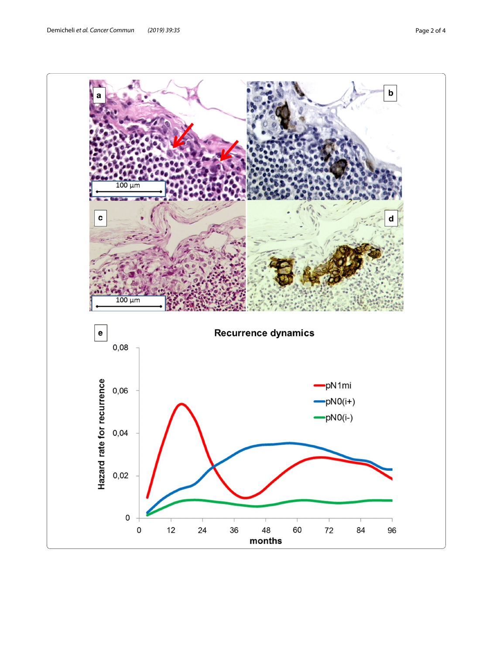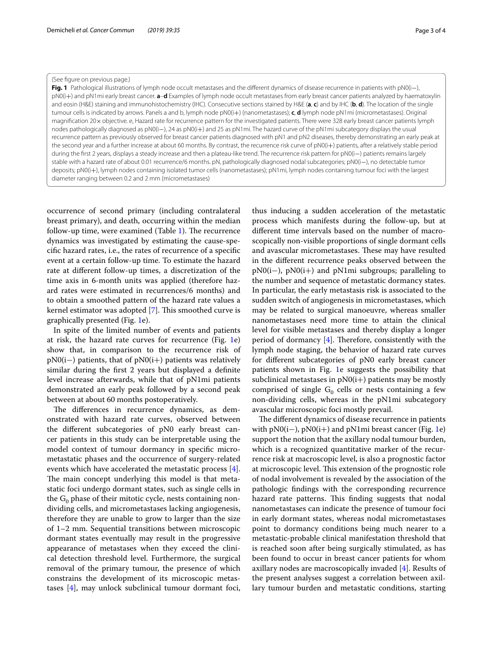(See fgure on previous page.)

<span id="page-2-0"></span>**Fig. 1** Pathological illustrations of lymph node occult metastases and the diferent dynamics of disease recurrence in patients with pN0(i−), pN0(i+) and pN1mi early breast cancer. **a**–**d** Examples of lymph node occult metastases from early breast cancer patients analyzed by haematoxylin and eosin (H&E) staining and immunohistochemistry (IHC). Consecutive sections stained by H&E (**a**, **c**) and by IHC (**b**, **d**). The location of the single tumour cells is indicated by arrows. Panels a and b, lymph node pN0(i+) (nanometastases); **c**, **d** lymph node pN1mi (micrometastases). Original magnifcation 20×objective. e, Hazard rate for recurrence pattern for the investigated patients. There were 328 early breast cancer patients lymph nodes pathologically diagnosed as pN0(i−), 24 as pN0(i+) and 25 as pN1mi. The hazard curve of the pN1mi subcategory displays the usual recurrence pattern as previously observed for breast cancer patients diagnosed with pN1 and pN2 diseases, thereby demonstrating an early peak at the second year and a further increase at about 60 months. By contrast, the recurrence risk curve of pN0(i+) patients, after a relatively stable period during the frst 2 years, displays a steady increase and then a plateau-like trend. The recurrence risk pattern for pN0(i−) patients remains largely stable with a hazard rate of about 0.01 recurrence/6 months. pN, pathologically diagnosed nodal subcategories; pN0(i−), no detectable tumor deposits; pN0(i+), lymph nodes containing isolated tumor cells (nanometastases); pN1mi, lymph nodes containing tumour foci with the largest diameter ranging between 0.2 and 2 mm (micrometastases)

occurrence of second primary (including contralateral breast primary), and death, occurring within the median follow-up time, were examined (Table  $1$ ). The recurrence dynamics was investigated by estimating the cause-specifc hazard rates, i.e., the rates of recurrence of a specifc event at a certain follow-up time. To estimate the hazard rate at diferent follow-up times, a discretization of the time axis in 6-month units was applied (therefore hazard rates were estimated in recurrences/6 months) and to obtain a smoothed pattern of the hazard rate values a kernel estimator was adopted  $[7]$  $[7]$ . This smoothed curve is graphically presented (Fig. [1e](#page-2-0)).

In spite of the limited number of events and patients at risk, the hazard rate curves for recurrence (Fig. [1e](#page-2-0)) show that, in comparison to the recurrence risk of pN0(i−) patients, that of pN0(i+) patients was relatively similar during the frst 2 years but displayed a defnite level increase afterwards, while that of pN1mi patients demonstrated an early peak followed by a second peak between at about 60 months postoperatively.

The differences in recurrence dynamics, as demonstrated with hazard rate curves, observed between the diferent subcategories of pN0 early breast cancer patients in this study can be interpretable using the model context of tumour dormancy in specifc micrometastatic phases and the occurrence of surgery-related events which have accelerated the metastatic process [\[4](#page-3-3)]. The main concept underlying this model is that metastatic foci undergo dormant states, such as single cells in the  $G_0$  phase of their mitotic cycle, nests containing nondividing cells, and micrometastases lacking angiogenesis, therefore they are unable to grow to larger than the size of 1–2 mm. Sequential transitions between microscopic dormant states eventually may result in the progressive appearance of metastases when they exceed the clinical detection threshold level. Furthermore, the surgical removal of the primary tumour, the presence of which constrains the development of its microscopic metastases [[4\]](#page-3-3), may unlock subclinical tumour dormant foci,

thus inducing a sudden acceleration of the metastatic process which manifests during the follow-up, but at diferent time intervals based on the number of macroscopically non-visible proportions of single dormant cells and avascular micrometastases. These may have resulted in the diferent recurrence peaks observed between the pN0(i−), pN0(i+) and pN1mi subgroups; paralleling to the number and sequence of metastatic dormancy states. In particular, the early metastasis risk is associated to the sudden switch of angiogenesis in micrometastases, which may be related to surgical manoeuvre, whereas smaller nanometastases need more time to attain the clinical level for visible metastases and thereby display a longer period of dormancy  $[4]$  $[4]$ . Therefore, consistently with the lymph node staging, the behavior of hazard rate curves for diferent subcategories of pN0 early breast cancer patients shown in Fig. [1e](#page-2-0) suggests the possibility that subclinical metastases in  $pN0(i+)$  patients may be mostly comprised of single  $G_0$  cells or nests containing a few non-dividing cells, whereas in the pN1mi subcategory avascular microscopic foci mostly prevail.

The different dynamics of disease recurrence in patients with pN0(i−), pN0(i+) and pN1mi breast cancer (Fig. [1e](#page-2-0)) support the notion that the axillary nodal tumour burden, which is a recognized quantitative marker of the recurrence risk at macroscopic level, is also a prognostic factor at microscopic level. This extension of the prognostic role of nodal involvement is revealed by the association of the pathologic fndings with the corresponding recurrence hazard rate patterns. This finding suggests that nodal nanometastases can indicate the presence of tumour foci in early dormant states, whereas nodal micrometastases point to dormancy conditions being much nearer to a metastatic-probable clinical manifestation threshold that is reached soon after being surgically stimulated, as has been found to occur in breast cancer patients for whom axillary nodes are macroscopically invaded [[4\]](#page-3-3). Results of the present analyses suggest a correlation between axillary tumour burden and metastatic conditions, starting